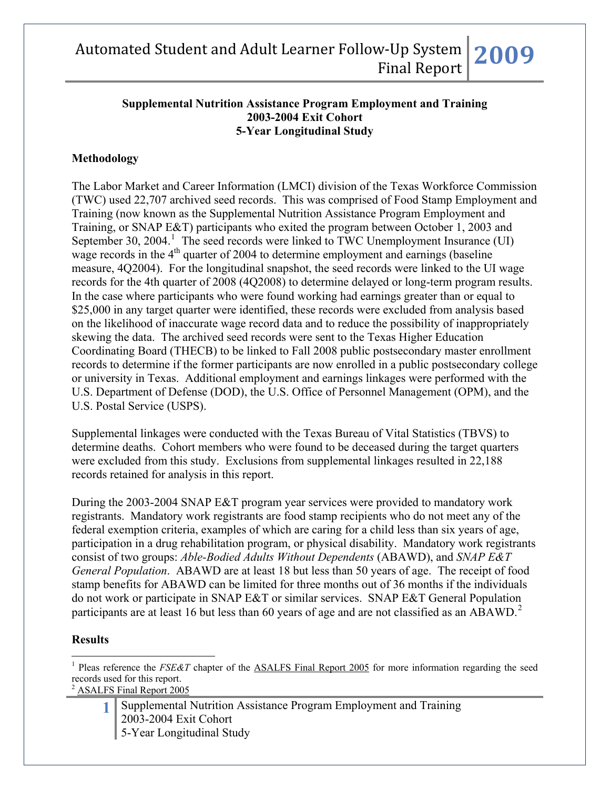#### **Supplemental Nutrition Assistance Program Employment and Training 2003-2004 Exit Cohort 5-Year Longitudinal Study**

### **Methodology**

The Labor Market and Career Information (LMCI) division of the Texas Workforce Commission (TWC) used 22,707 archived seed records. This was comprised of Food Stamp Employment and Training (now known as the Supplemental Nutrition Assistance Program Employment and Training, or SNAP E&T) participants who exited the program between October 1, 2003 and September 30, 2004.<sup>[1](#page-0-0)</sup> The seed records were linked to TWC Unemployment Insurance (UI) wage records in the  $4<sup>th</sup>$  quarter of 2004 to determine employment and earnings (baseline) measure, 4Q2004). For the longitudinal snapshot, the seed records were linked to the UI wage records for the 4th quarter of 2008 (4Q2008) to determine delayed or long-term program results. In the case where participants who were found working had earnings greater than or equal to \$25,000 in any target quarter were identified, these records were excluded from analysis based on the likelihood of inaccurate wage record data and to reduce the possibility of inappropriately skewing the data. The archived seed records were sent to the Texas Higher Education Coordinating Board (THECB) to be linked to Fall 2008 public postsecondary master enrollment records to determine if the former participants are now enrolled in a public postsecondary college or university in Texas. Additional employment and earnings linkages were performed with the U.S. Department of Defense (DOD), the U.S. Office of Personnel Management (OPM), and the U.S. Postal Service (USPS).

Supplemental linkages were conducted with the Texas Bureau of Vital Statistics (TBVS) to determine deaths. Cohort members who were found to be deceased during the target quarters were excluded from this study. Exclusions from supplemental linkages resulted in 22,188 records retained for analysis in this report.

During the 2003-2004 SNAP E&T program year services were provided to mandatory work registrants. Mandatory work registrants are food stamp recipients who do not meet any of the federal exemption criteria, examples of which are caring for a child less than six years of age, participation in a drug rehabilitation program, or physical disability. Mandatory work registrants consist of two groups: *Able-Bodied Adults Without Dependents* (ABAWD), and *SNAP E&T General Population*. ABAWD are at least 18 but less than 50 years of age. The receipt of food stamp benefits for ABAWD can be limited for three months out of 36 months if the individuals do not work or participate in SNAP E&T or similar services. SNAP E&T General Population participants are at least 16 but less than 60 years of age and are not classified as an ABAWD.<sup>[2](#page-0-1)</sup>

#### **Results**

 $\overline{a}$ 

<span id="page-0-1"></span><sup>2</sup> ASALFS Final Report 2005

**1** Supplemental Nutrition Assistance Program Employment and Training 2003-2004 Exit Cohort 5-Year Longitudinal Study

<span id="page-0-0"></span><sup>&</sup>lt;sup>1</sup> Pleas reference the *FSE&T* chapter of the **ASALFS** Final Report 2005 for more information regarding the seed records used for this report.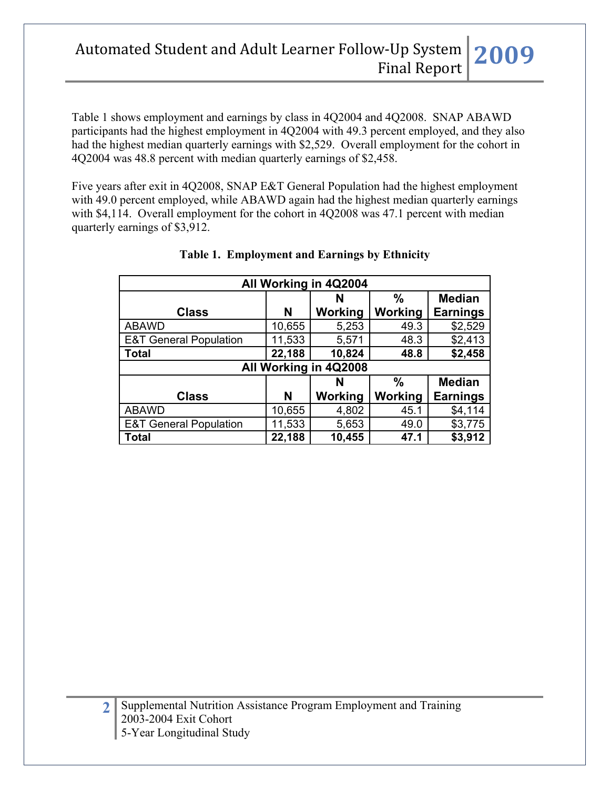Table 1 shows employment and earnings by class in 4Q2004 and 4Q2008. SNAP ABAWD participants had the highest employment in 4Q2004 with 49.3 percent employed, and they also had the highest median quarterly earnings with \$2,529. Overall employment for the cohort in 4Q2004 was 48.8 percent with median quarterly earnings of \$2,458.

Five years after exit in 4Q2008, SNAP E&T General Population had the highest employment with 49.0 percent employed, while ABAWD again had the highest median quarterly earnings with \$4,114. Overall employment for the cohort in 4Q2008 was 47.1 percent with median quarterly earnings of \$3,912.

| All Working in 4Q2004             |                         |                       |         |                 |  |  |  |  |
|-----------------------------------|-------------------------|-----------------------|---------|-----------------|--|--|--|--|
|                                   |                         | N                     | %       | <b>Median</b>   |  |  |  |  |
| <b>Class</b>                      | N                       | Working               | Working | <b>Earnings</b> |  |  |  |  |
| <b>ABAWD</b>                      | 10,655                  | 5,253                 | 49.3    | \$2,529         |  |  |  |  |
| <b>E&amp;T General Population</b> | 11,533                  | 5,571                 | 48.3    | \$2,413         |  |  |  |  |
| <b>Total</b>                      | 22,188                  | 10,824                | 48.8    | \$2,458         |  |  |  |  |
|                                   |                         | All Working in 4Q2008 |         |                 |  |  |  |  |
|                                   | %<br><b>Median</b><br>N |                       |         |                 |  |  |  |  |
| <b>Class</b>                      | N                       | Working               | Working | <b>Earnings</b> |  |  |  |  |
| <b>ABAWD</b>                      | 10,655                  | 4,802                 | 45.1    | \$4,114         |  |  |  |  |
| <b>E&amp;T General Population</b> | 11,533                  | 5,653                 | 49.0    | \$3,775         |  |  |  |  |
| Total                             | 22,188                  | 10,455                | 47.1    | \$3,912         |  |  |  |  |

### **Table 1. Employment and Earnings by Ethnicity**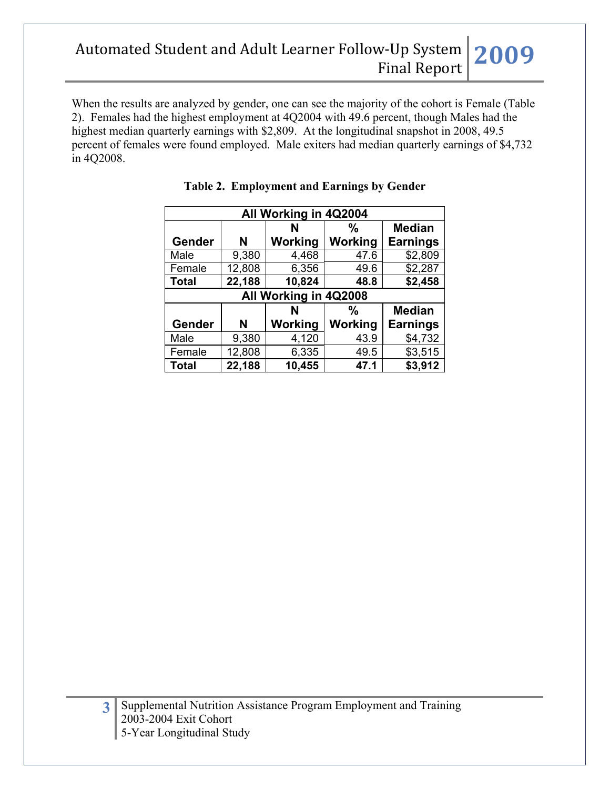When the results are analyzed by gender, one can see the majority of the cohort is Female (Table 2). Females had the highest employment at 4Q2004 with 49.6 percent, though Males had the highest median quarterly earnings with \$2,809. At the longitudinal snapshot in 2008, 49.5 percent of females were found employed. Male exiters had median quarterly earnings of \$4,732 in 4Q2008.

| All Working in 4Q2004 |        |                       |                |                 |  |  |
|-----------------------|--------|-----------------------|----------------|-----------------|--|--|
|                       |        | N                     | %              | <b>Median</b>   |  |  |
| Gender                | N      | Working               | <b>Working</b> | <b>Earnings</b> |  |  |
| Male                  | 9,380  | 4,468                 | 47.6           | \$2,809         |  |  |
| Female                | 12,808 | 6,356                 | 49.6           | \$2,287         |  |  |
| <b>Total</b>          | 22,188 | 10,824                | 48.8           | \$2,458         |  |  |
|                       |        | All Working in 4Q2008 |                |                 |  |  |
|                       |        | N                     | %              | <b>Median</b>   |  |  |
| Gender                | N      | Working               | Working        | <b>Earnings</b> |  |  |
| Male                  | 9,380  | 4,120                 | 43.9           | \$4,732         |  |  |
| Female                | 12,808 | 6,335                 | 49.5           | \$3,515         |  |  |
| <b>Total</b>          | 22,188 | 10,455                | 47.1           | \$3,912         |  |  |

|  | <b>Table 2. Employment and Earnings by Gender</b> |  |
|--|---------------------------------------------------|--|
|  |                                                   |  |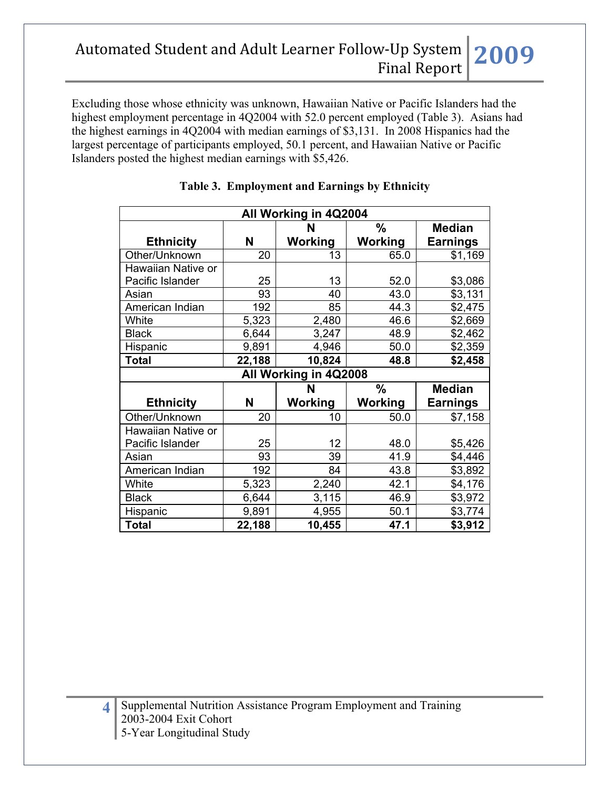Excluding those whose ethnicity was unknown, Hawaiian Native or Pacific Islanders had the highest employment percentage in 4Q2004 with 52.0 percent employed (Table 3). Asians had the highest earnings in 4Q2004 with median earnings of \$3,131. In 2008 Hispanics had the largest percentage of participants employed, 50.1 percent, and Hawaiian Native or Pacific Islanders posted the highest median earnings with \$5,426.

| All Working in 4Q2004 |        |                       |               |                 |  |  |  |  |
|-----------------------|--------|-----------------------|---------------|-----------------|--|--|--|--|
|                       |        | N                     | $\frac{0}{0}$ | <b>Median</b>   |  |  |  |  |
| <b>Ethnicity</b>      | N      | Working               | Working       | <b>Earnings</b> |  |  |  |  |
| Other/Unknown         | 20     | 13                    | 65.0          | \$1,169         |  |  |  |  |
| Hawaiian Native or    |        |                       |               |                 |  |  |  |  |
| Pacific Islander      | 25     | 13                    | 52.0          | \$3,086         |  |  |  |  |
| Asian                 | 93     | 40                    | 43.0          | \$3,131         |  |  |  |  |
| American Indian       | 192    | 85                    | 44.3          | \$2,475         |  |  |  |  |
| White                 | 5,323  | 2,480                 | 46.6          | \$2,669         |  |  |  |  |
| <b>Black</b>          | 6,644  | 3,247                 | 48.9          | \$2,462         |  |  |  |  |
| Hispanic              | 9,891  | 4,946                 | 50.0          | \$2,359         |  |  |  |  |
| <b>Total</b>          | 22,188 | 10,824                | 48.8          | \$2,458         |  |  |  |  |
|                       |        | All Working in 4Q2008 |               |                 |  |  |  |  |
|                       |        | N                     | $\frac{0}{0}$ | <b>Median</b>   |  |  |  |  |
| <b>Ethnicity</b>      | Ν      | Working               | Working       | <b>Earnings</b> |  |  |  |  |
| Other/Unknown         | 20     | 10                    | 50.0          | \$7,158         |  |  |  |  |
| Hawaiian Native or    |        |                       |               |                 |  |  |  |  |
| Pacific Islander      | 25     | 12                    | 48.0          | \$5,426         |  |  |  |  |
| Asian                 | 93     | 39                    | 41.9          | \$4,446         |  |  |  |  |
| American Indian       | 192    | 84                    | 43.8          | \$3,892         |  |  |  |  |
| White                 | 5,323  | 2,240                 | 42.1          | \$4,176         |  |  |  |  |
| <b>Black</b>          | 6,644  | 3,115                 | 46.9          | \$3,972         |  |  |  |  |
| Hispanic              | 9,891  | 4,955                 | 50.1          | \$3,774         |  |  |  |  |
| <b>Total</b>          | 22,188 | 10,455                | 47.1          | \$3,912         |  |  |  |  |

### **Table 3. Employment and Earnings by Ethnicity**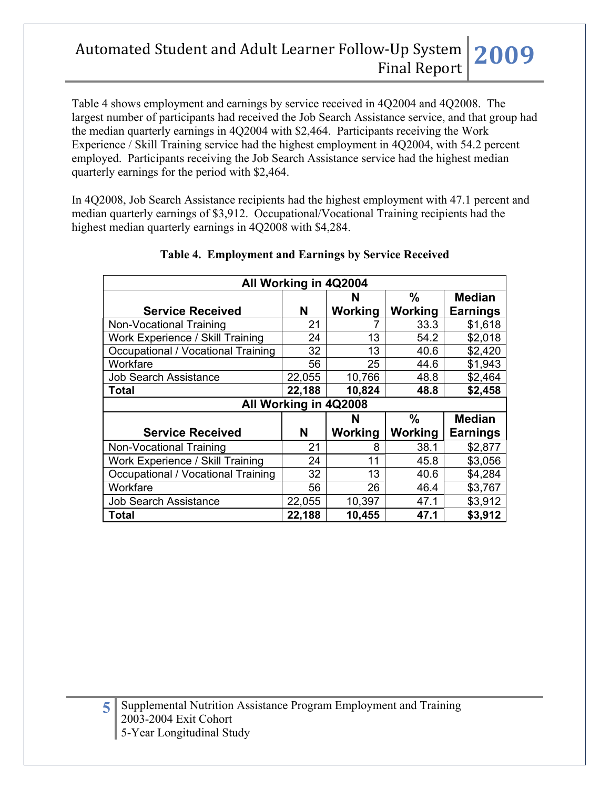Table 4 shows employment and earnings by service received in 4Q2004 and 4Q2008. The largest number of participants had received the Job Search Assistance service, and that group had the median quarterly earnings in 4Q2004 with \$2,464. Participants receiving the Work Experience / Skill Training service had the highest employment in 4Q2004, with 54.2 percent employed. Participants receiving the Job Search Assistance service had the highest median quarterly earnings for the period with \$2,464.

In 4Q2008, Job Search Assistance recipients had the highest employment with 47.1 percent and median quarterly earnings of \$3,912. Occupational/Vocational Training recipients had the highest median quarterly earnings in 4Q2008 with \$4,284.

| All Working in 4Q2004              |        |         |         |                 |  |  |  |
|------------------------------------|--------|---------|---------|-----------------|--|--|--|
|                                    |        | N       | %       | <b>Median</b>   |  |  |  |
| <b>Service Received</b>            | N      | Working | Working | <b>Earnings</b> |  |  |  |
| Non-Vocational Training            | 21     |         | 33.3    | \$1,618         |  |  |  |
| Work Experience / Skill Training   | 24     | 13      | 54.2    | \$2,018         |  |  |  |
| Occupational / Vocational Training | 32     | 13      | 40.6    | \$2,420         |  |  |  |
| Workfare                           | 56     | 25      | 44.6    | \$1,943         |  |  |  |
| <b>Job Search Assistance</b>       | 22,055 | 10,766  | 48.8    | \$2,464         |  |  |  |
| Total                              | 22,188 | 10,824  | 48.8    | \$2,458         |  |  |  |
| All Working in 4Q2008              |        |         |         |                 |  |  |  |
|                                    |        |         |         |                 |  |  |  |
|                                    |        | N       | %       | <b>Median</b>   |  |  |  |
| <b>Service Received</b>            | N      | Working | Working | <b>Earnings</b> |  |  |  |
| Non-Vocational Training            | 21     | 8       | 38.1    | \$2,877         |  |  |  |
| Work Experience / Skill Training   | 24     | 11      | 45.8    | \$3,056         |  |  |  |
| Occupational / Vocational Training | 32     | 13      | 40.6    | \$4,284         |  |  |  |
| Workfare                           | 56     | 26      | 46.4    | \$3,767         |  |  |  |
| <b>Job Search Assistance</b>       | 22,055 | 10,397  | 47.1    | \$3,912         |  |  |  |

### **Table 4. Employment and Earnings by Service Received**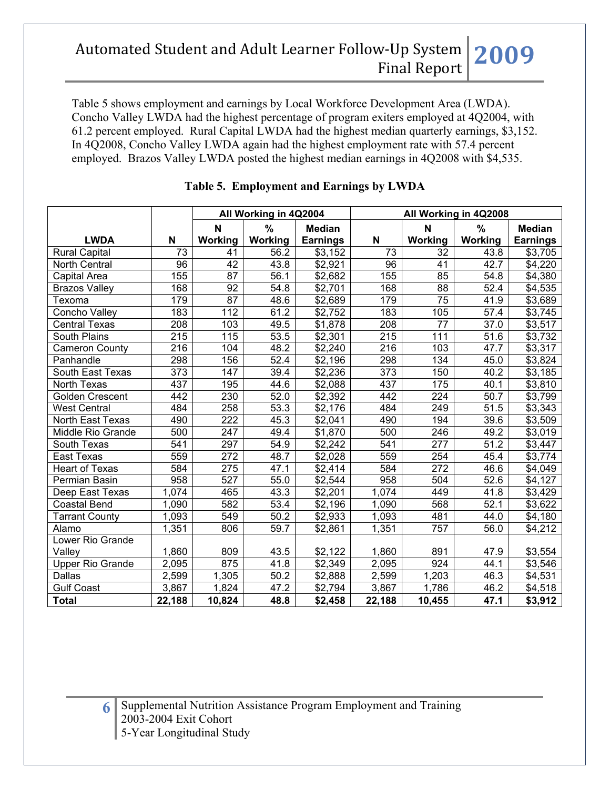Table 5 shows employment and earnings by Local Workforce Development Area (LWDA). Concho Valley LWDA had the highest percentage of program exiters employed at 4Q2004, with 61.2 percent employed. Rural Capital LWDA had the highest median quarterly earnings, \$3,152. In 4Q2008, Concho Valley LWDA again had the highest employment rate with 57.4 percent employed. Brazos Valley LWDA posted the highest median earnings in 4Q2008 with \$4,535.

|                         |                  | All Working in 4Q2004 |                   |                 | All Working in 4Q2008 |                 |         |                 |
|-------------------------|------------------|-----------------------|-------------------|-----------------|-----------------------|-----------------|---------|-----------------|
|                         |                  | N                     | %                 | <b>Median</b>   |                       | N               | %       | <b>Median</b>   |
| <b>LWDA</b>             | N                | Working               | Working           | <b>Earnings</b> | N                     | Working         | Working | <b>Earnings</b> |
| <b>Rural Capital</b>    | 73               | 41                    | 56.2              | \$3,152         | 73                    | 32              | 43.8    | \$3,705         |
| <b>North Central</b>    | $\overline{96}$  | 42                    | 43.8              | \$2,921         | $\overline{96}$       | 41              | 42.7    | \$4,220         |
| Capital Area            | 155              | 87                    | 56.1              | \$2,682         | 155                   | 85              | 54.8    | \$4,380         |
| <b>Brazos Valley</b>    | 168              | $\overline{92}$       | $\overline{5}4.8$ | \$2,701         | 168                   | 88              | 52.4    | \$4,535         |
| Texoma                  | 179              | 87                    | 48.6              | \$2,689         | 179                   | $\overline{75}$ | 41.9    | \$3,689         |
| Concho Valley           | 183              | 112                   | 61.2              | \$2,752         | 183                   | 105             | 57.4    | \$3,745         |
| <b>Central Texas</b>    | $\overline{208}$ | 103                   | 49.5              | \$1,878         | $\overline{208}$      | $\overline{77}$ | 37.0    | \$3,517         |
| South Plains            | 215              | 115                   | 53.5              | \$2,301         | 215                   | 111             | 51.6    | \$3,732         |
| <b>Cameron County</b>   | 216              | 104                   | 48.2              | \$2,240         | 216                   | 103             | 47.7    | \$3,317         |
| Panhandle               | 298              | 156                   | 52.4              | \$2,196         | 298                   | 134             | 45.0    | \$3,824         |
| South East Texas        | 373              | 147                   | 39.4              | \$2,236         | 373                   | 150             | 40.2    | \$3,185         |
| <b>North Texas</b>      | 437              | 195                   | 44.6              | \$2,088         | 437                   | 175             | 40.1    | \$3,810         |
| <b>Golden Crescent</b>  | 442              | 230                   | 52.0              | \$2,392         | 442                   | 224             | 50.7    | \$3,799         |
| <b>West Central</b>     | 484              | 258                   | 53.3              | \$2,176         | 484                   | 249             | 51.5    | \$3,343         |
| North East Texas        | 490              | 222                   | 45.3              | \$2,041         | 490                   | 194             | 39.6    | \$3,509         |
| Middle Rio Grande       | 500              | 247                   | 49.4              | \$1,870         | 500                   | 246             | 49.2    | \$3,019         |
| South Texas             | 541              | 297                   | 54.9              | \$2,242         | 541                   | 277             | 51.2    | \$3,447         |
| East Texas              | 559              | 272                   | 48.7              | \$2,028         | 559                   | 254             | 45.4    | \$3,774         |
| <b>Heart of Texas</b>   | 584              | 275                   | 47.1              | \$2,414         | 584                   | 272             | 46.6    | \$4,049         |
| Permian Basin           | 958              | 527                   | 55.0              | \$2,544         | 958                   | 504             | 52.6    | \$4,127         |
| Deep East Texas         | 1,074            | 465                   | 43.3              | \$2,201         | 1,074                 | 449             | 41.8    | \$3,429         |
| <b>Coastal Bend</b>     | 1,090            | 582                   | 53.4              | \$2,196         | 1,090                 | 568             | 52.1    | \$3,622         |
| <b>Tarrant County</b>   | 1,093            | 549                   | 50.2              | \$2,933         | 1,093                 | 481             | 44.0    | \$4,180         |
| Alamo                   | 1,351            | 806                   | 59.7              | \$2,861         | 1,351                 | 757             | 56.0    | \$4,212         |
| Lower Rio Grande        |                  |                       |                   |                 |                       |                 |         |                 |
| Valley                  | 1,860            | 809                   | 43.5              | \$2,122         | 1,860                 | 891             | 47.9    | \$3,554         |
| <b>Upper Rio Grande</b> | 2,095            | 875                   | 41.8              | \$2,349         | 2,095                 | 924             | 44.1    | \$3,546         |
| Dallas                  | 2,599            | 1,305                 | 50.2              | \$2,888         | 2,599                 | 1,203           | 46.3    | \$4,531         |
| <b>Gulf Coast</b>       | 3,867            | 1,824                 | 47.2              | \$2,794         | 3,867                 | 1,786           | 46.2    | \$4,518         |
| <b>Total</b>            | 22,188           | 10,824                | 48.8              | \$2,458         | 22,188                | 10,455          | 47.1    | \$3,912         |

### **Table 5. Employment and Earnings by LWDA**

**6** Supplemental Nutrition Assistance Program Employment and Training 2003-2004 Exit Cohort 5-Year Longitudinal Study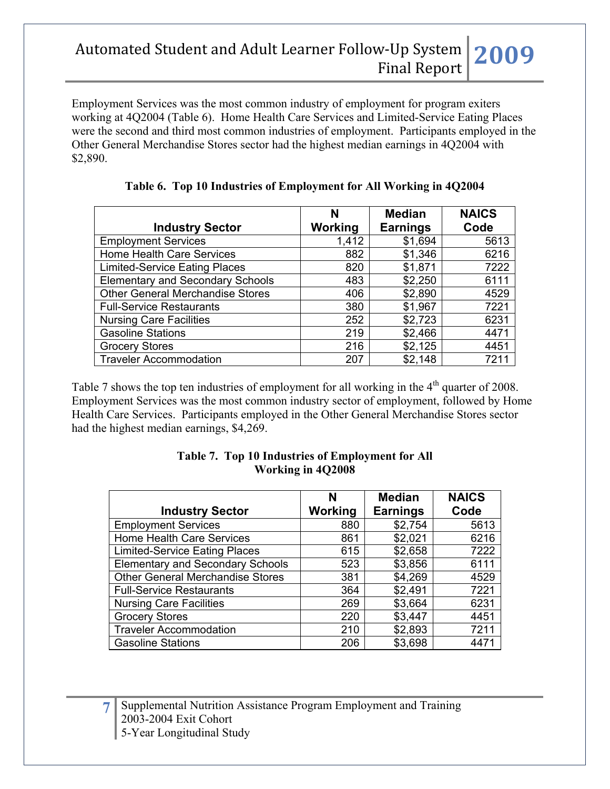Employment Services was the most common industry of employment for program exiters working at 4Q2004 (Table 6). Home Health Care Services and Limited-Service Eating Places were the second and third most common industries of employment. Participants employed in the Other General Merchandise Stores sector had the highest median earnings in 4Q2004 with \$2,890.

| <b>Industry Sector</b>                  | N<br><b>Working</b> | <b>Median</b><br><b>Earnings</b> | <b>NAICS</b><br>Code |
|-----------------------------------------|---------------------|----------------------------------|----------------------|
| <b>Employment Services</b>              | 1,412               | \$1,694                          | 5613                 |
| <b>Home Health Care Services</b>        | 882                 | \$1,346                          | 6216                 |
| <b>Limited-Service Eating Places</b>    | 820                 | \$1,871                          | 7222                 |
| <b>Elementary and Secondary Schools</b> | 483                 | \$2,250                          | 6111                 |
| <b>Other General Merchandise Stores</b> | 406                 | \$2,890                          | 4529                 |
| <b>Full-Service Restaurants</b>         | 380                 | \$1,967                          | 7221                 |
| <b>Nursing Care Facilities</b>          | 252                 | \$2,723                          | 6231                 |
| <b>Gasoline Stations</b>                | 219                 | \$2,466                          | 4471                 |
| <b>Grocery Stores</b>                   | 216                 | \$2,125                          | 4451                 |
| <b>Traveler Accommodation</b>           | 207                 | \$2,148                          | 7211                 |

**Table 6. Top 10 Industries of Employment for All Working in 4Q2004**

Table 7 shows the top ten industries of employment for all working in the 4<sup>th</sup> quarter of 2008. Employment Services was the most common industry sector of employment, followed by Home Health Care Services. Participants employed in the Other General Merchandise Stores sector had the highest median earnings, \$4,269.

|                                         | N       | <b>Median</b>   | <b>NAICS</b> |
|-----------------------------------------|---------|-----------------|--------------|
| <b>Industry Sector</b>                  | Working | <b>Earnings</b> | Code         |
| <b>Employment Services</b>              | 880     | \$2,754         | 5613         |
| <b>Home Health Care Services</b>        | 861     | \$2,021         | 6216         |
| <b>Limited-Service Eating Places</b>    | 615     | \$2,658         | 7222         |
| <b>Elementary and Secondary Schools</b> | 523     | \$3,856         | 6111         |
| <b>Other General Merchandise Stores</b> | 381     | \$4,269         | 4529         |
| <b>Full-Service Restaurants</b>         | 364     | \$2,491         | 7221         |
| <b>Nursing Care Facilities</b>          | 269     | \$3,664         | 6231         |
| <b>Grocery Stores</b>                   | 220     | \$3,447         | 4451         |
| <b>Traveler Accommodation</b>           | 210     | \$2,893         | 7211         |
| <b>Gasoline Stations</b>                | 206     | \$3,698         | 4471         |

#### **Table 7. Top 10 Industries of Employment for All Working in 4Q2008**

**7** Supplemental Nutrition Assistance Program Employment and Training 2003-2004 Exit Cohort 5-Year Longitudinal Study